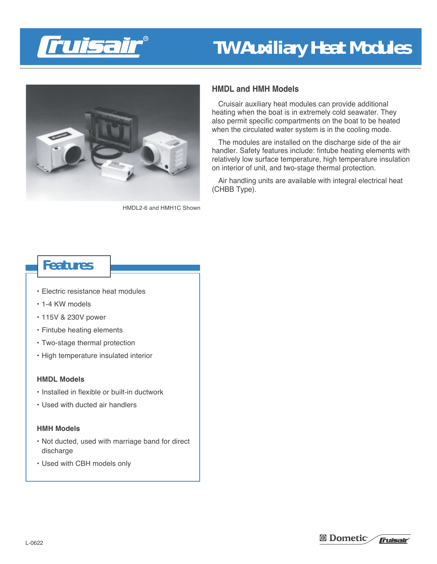



HMDL2-6 and HMH1C Shown

## **HMDL and HMH Models**

Cruisair auxiliary heat modules can provide additional heating when the boat is in extremely cold seawater. They also permit specific compartments on the boat to be heated when the circulated water system is in the cooling mode.

The modules are installed on the discharge side of the air handler. Safety features include: fintube heating elements with relatively low surface temperature, high temperature insulation on interior of unit, and two-stage thermal protection.

Air handling units are available with integral electrical heat (CHBB Type).

# **Features**

- Electric resistance heat modules
- 1-4 KW models
- 115V & 230V power
- Fintube heating elements
- Two-stage thermal protection
- High temperature insulated interior

#### **HMDL Models**

- Installed in flexible or built-in ductwork
- Used with ducted air handlers

### **HMH Models**

- Not ducted, used with marriage band for direct discharge
- Used with CBH models only